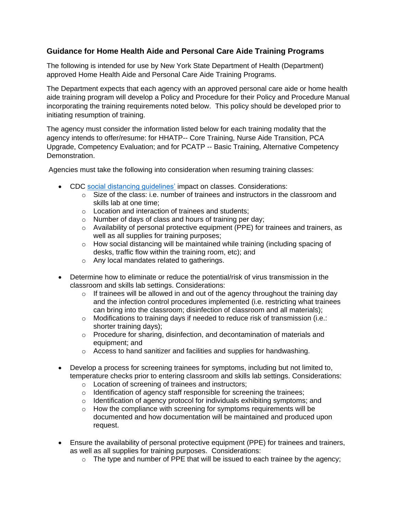## **Guidance for Home Health Aide and Personal Care Aide Training Programs**

The following is intended for use by New York State Department of Health (Department) approved Home Health Aide and Personal Care Aide Training Programs.

The Department expects that each agency with an approved personal care aide or home health aide training program will develop a Policy and Procedure for their Policy and Procedure Manual incorporating the training requirements noted below. This policy should be developed prior to initiating resumption of training.

The agency must consider the information listed below for each training modality that the agency intends to offer/resume: for HHATP-- Core Training, Nurse Aide Transition, PCA Upgrade, Competency Evaluation; and for PCATP -- Basic Training, Alternative Competency Demonstration.

Agencies must take the following into consideration when resuming training classes:

- CDC [social distancing guidelines'](http://www.cdc.gov/coronavirus/2019-ncov/prevent-getting-sick/social-distancing.html) impact on classes. Considerations:
	- $\circ$  Size of the class: i.e. number of trainees and instructors in the classroom and skills lab at one time;
	- o Location and interaction of trainees and students;
	- o Number of days of class and hours of training per day;
	- o Availability of personal protective equipment (PPE) for trainees and trainers, as well as all supplies for training purposes;
	- $\circ$  How social distancing will be maintained while training (including spacing of desks, traffic flow within the training room, etc); and
	- o Any local mandates related to gatherings.
- Determine how to eliminate or reduce the potential/risk of virus transmission in the classroom and skills lab settings. Considerations:
	- $\circ$  If trainees will be allowed in and out of the agency throughout the training day and the infection control procedures implemented (i.e. restricting what trainees can bring into the classroom; disinfection of classroom and all materials);
	- o Modifications to training days if needed to reduce risk of transmission (i.e.: shorter training days);
	- $\circ$  Procedure for sharing, disinfection, and decontamination of materials and equipment; and
	- $\circ$  Access to hand sanitizer and facilities and supplies for handwashing.
- Develop a process for screening trainees for symptoms, including but not limited to, temperature checks prior to entering classroom and skills lab settings. Considerations:
	- o Location of screening of trainees and instructors;
	- o Identification of agency staff responsible for screening the trainees;
	- o Identification of agency protocol for individuals exhibiting symptoms; and
	- $\circ$  How the compliance with screening for symptoms requirements will be documented and how documentation will be maintained and produced upon request.
- Ensure the availability of personal protective equipment (PPE) for trainees and trainers, as well as all supplies for training purposes. Considerations:
	- $\circ$  The type and number of PPE that will be issued to each trainee by the agency;